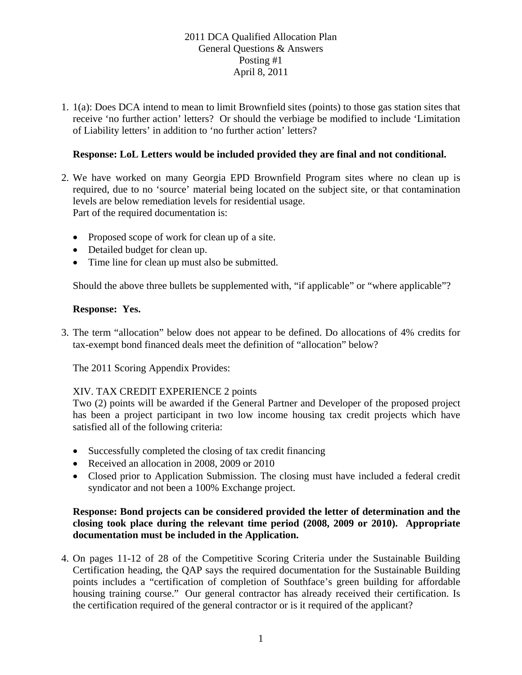1. 1(a): Does DCA intend to mean to limit Brownfield sites (points) to those gas station sites that receive 'no further action' letters? Or should the verbiage be modified to include 'Limitation of Liability letters' in addition to 'no further action' letters?

# **Response: LoL Letters would be included provided they are final and not conditional.**

- 2. We have worked on many Georgia EPD Brownfield Program sites where no clean up is required, due to no 'source' material being located on the subject site, or that contamination levels are below remediation levels for residential usage. Part of the required documentation is:
	- Proposed scope of work for clean up of a site.
	- Detailed budget for clean up.
	- Time line for clean up must also be submitted.

Should the above three bullets be supplemented with, "if applicable" or "where applicable"?

## **Response: Yes.**

3. The term "allocation" below does not appear to be defined. Do allocations of 4% credits for tax-exempt bond financed deals meet the definition of "allocation" below?

The 2011 Scoring Appendix Provides:

## XIV. TAX CREDIT EXPERIENCE 2 points

Two (2) points will be awarded if the General Partner and Developer of the proposed project has been a project participant in two low income housing tax credit projects which have satisfied all of the following criteria:

- Successfully completed the closing of tax credit financing
- Received an allocation in 2008, 2009 or 2010
- Closed prior to Application Submission. The closing must have included a federal credit syndicator and not been a 100% Exchange project.

### **Response: Bond projects can be considered provided the letter of determination and the closing took place during the relevant time period (2008, 2009 or 2010). Appropriate documentation must be included in the Application.**

4. On pages 11-12 of 28 of the Competitive Scoring Criteria under the Sustainable Building Certification heading, the QAP says the required documentation for the Sustainable Building points includes a "certification of completion of Southface's green building for affordable housing training course." Our general contractor has already received their certification. Is the certification required of the general contractor or is it required of the applicant?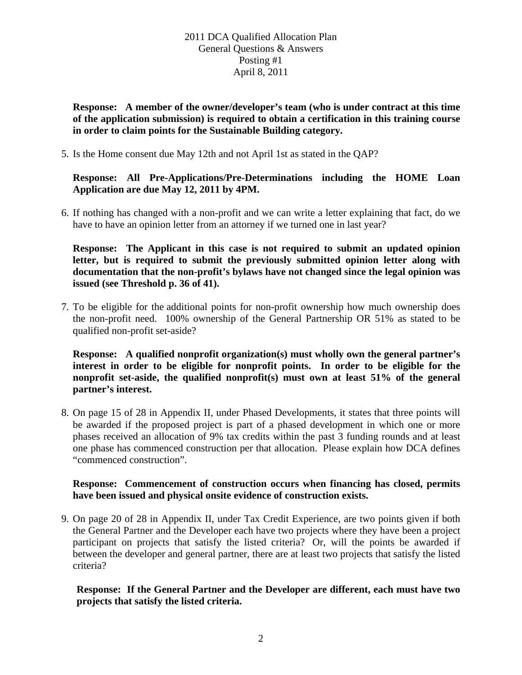**Response: A member of the owner/developer's team (who is under contract at this time of the application submission) is required to obtain a certification in this training course in order to claim points for the Sustainable Building category.** 

5. Is the Home consent due May 12th and not April 1st as stated in the QAP?

### **Response: All Pre-Applications/Pre-Determinations including the HOME Loan Application are due May 12, 2011 by 4PM.**

6. If nothing has changed with a non-profit and we can write a letter explaining that fact, do we have to have an opinion letter from an attorney if we turned one in last year?

**Response: The Applicant in this case is not required to submit an updated opinion letter, but is required to submit the previously submitted opinion letter along with documentation that the non-profit's bylaws have not changed since the legal opinion was issued (see Threshold p. 36 of 41).**

7. To be eligible for the additional points for non-profit ownership how much ownership does the non-profit need. 100% ownership of the General Partnership OR 51% as stated to be qualified non-profit set-aside?

**Response: A qualified nonprofit organization(s) must wholly own the general partner's interest in order to be eligible for nonprofit points. In order to be eligible for the nonprofit set-aside, the qualified nonprofit(s) must own at least 51% of the general partner's interest.**

8. On page 15 of 28 in Appendix II, under Phased Developments, it states that three points will be awarded if the proposed project is part of a phased development in which one or more phases received an allocation of 9% tax credits within the past 3 funding rounds and at least one phase has commenced construction per that allocation. Please explain how DCA defines "commenced construction".

#### **Response: Commencement of construction occurs when financing has closed, permits have been issued and physical onsite evidence of construction exists.**

9. On page 20 of 28 in Appendix II, under Tax Credit Experience, are two points given if both the General Partner and the Developer each have two projects where they have been a project participant on projects that satisfy the listed criteria? Or, will the points be awarded if between the developer and general partner, there are at least two projects that satisfy the listed criteria?

## **Response: If the General Partner and the Developer are different, each must have two projects that satisfy the listed criteria.**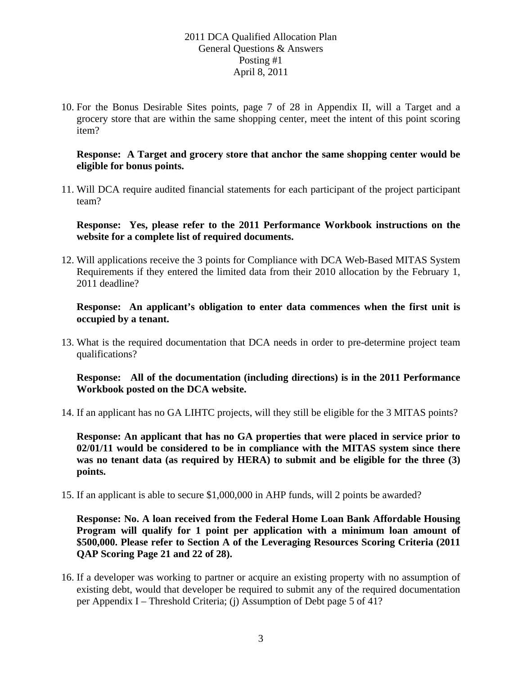10. For the Bonus Desirable Sites points, page 7 of 28 in Appendix II, will a Target and a grocery store that are within the same shopping center, meet the intent of this point scoring item?

#### **Response: A Target and grocery store that anchor the same shopping center would be eligible for bonus points.**

11. Will DCA require audited financial statements for each participant of the project participant team?

**Response: Yes, please refer to the 2011 Performance Workbook instructions on the website for a complete list of required documents.** 

12. Will applications receive the 3 points for Compliance with DCA Web-Based MITAS System Requirements if they entered the limited data from their 2010 allocation by the February 1, 2011 deadline?

#### **Response: An applicant's obligation to enter data commences when the first unit is occupied by a tenant.**

13. What is the required documentation that DCA needs in order to pre-determine project team qualifications?

### **Response: All of the documentation (including directions) is in the 2011 Performance Workbook posted on the DCA website.**

14. If an applicant has no GA LIHTC projects, will they still be eligible for the 3 MITAS points?

**Response: An applicant that has no GA properties that were placed in service prior to 02/01/11 would be considered to be in compliance with the MITAS system since there was no tenant data (as required by HERA) to submit and be eligible for the three (3) points.** 

15. If an applicant is able to secure \$1,000,000 in AHP funds, will 2 points be awarded?

**Response: No. A loan received from the Federal Home Loan Bank Affordable Housing Program will qualify for 1 point per application with a minimum loan amount of \$500,000. Please refer to Section A of the Leveraging Resources Scoring Criteria (2011 QAP Scoring Page 21 and 22 of 28).** 

16. If a developer was working to partner or acquire an existing property with no assumption of existing debt, would that developer be required to submit any of the required documentation per Appendix I – Threshold Criteria; (j) Assumption of Debt page 5 of 41?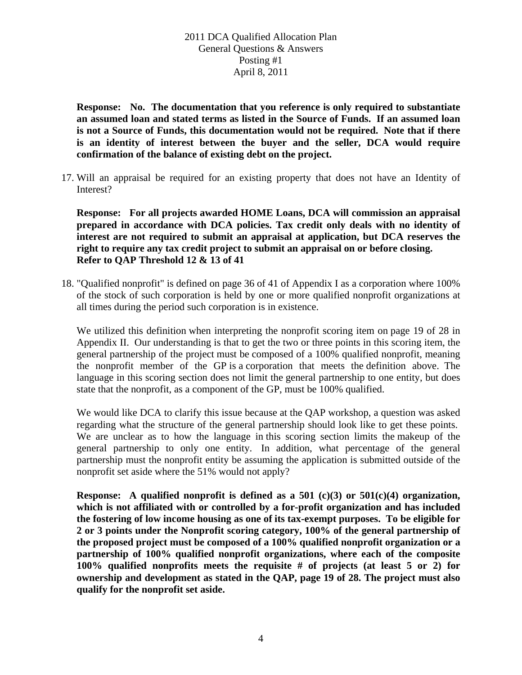**Response: No. The documentation that you reference is only required to substantiate an assumed loan and stated terms as listed in the Source of Funds. If an assumed loan is not a Source of Funds, this documentation would not be required. Note that if there is an identity of interest between the buyer and the seller, DCA would require confirmation of the balance of existing debt on the project.** 

17. Will an appraisal be required for an existing property that does not have an Identity of Interest?

**Response: For all projects awarded HOME Loans, DCA will commission an appraisal prepared in accordance with DCA policies. Tax credit only deals with no identity of interest are not required to submit an appraisal at application, but DCA reserves the right to require any tax credit project to submit an appraisal on or before closing. Refer to QAP Threshold 12 & 13 of 41**

18. "Qualified nonprofit" is defined on page 36 of 41 of Appendix I as a corporation where 100% of the stock of such corporation is held by one or more qualified nonprofit organizations at all times during the period such corporation is in existence.

We utilized this definition when interpreting the nonprofit scoring item on page 19 of 28 in Appendix II. Our understanding is that to get the two or three points in this scoring item, the general partnership of the project must be composed of a 100% qualified nonprofit, meaning the nonprofit member of the GP is a corporation that meets the definition above. The language in this scoring section does not limit the general partnership to one entity, but does state that the nonprofit, as a component of the GP, must be 100% qualified.

We would like DCA to clarify this issue because at the QAP workshop, a question was asked regarding what the structure of the general partnership should look like to get these points. We are unclear as to how the language in this scoring section limits the makeup of the general partnership to only one entity. In addition, what percentage of the general partnership must the nonprofit entity be assuming the application is submitted outside of the nonprofit set aside where the 51% would not apply?

**Response: A qualified nonprofit is defined as a 501 (c)(3) or 501(c)(4) organization, which is not affiliated with or controlled by a for-profit organization and has included the fostering of low income housing as one of its tax-exempt purposes. To be eligible for 2 or 3 points under the Nonprofit scoring category, 100% of the general partnership of the proposed project must be composed of a 100% qualified nonprofit organization or a partnership of 100% qualified nonprofit organizations, where each of the composite 100% qualified nonprofits meets the requisite # of projects (at least 5 or 2) for ownership and development as stated in the QAP, page 19 of 28. The project must also qualify for the nonprofit set aside.**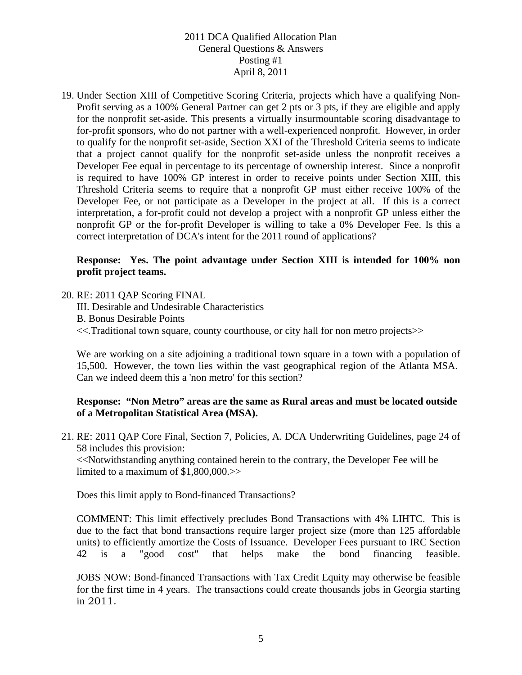19. Under Section XIII of Competitive Scoring Criteria, projects which have a qualifying Non-Profit serving as a 100% General Partner can get 2 pts or 3 pts, if they are eligible and apply for the nonprofit set-aside. This presents a virtually insurmountable scoring disadvantage to for-profit sponsors, who do not partner with a well-experienced nonprofit. However, in order to qualify for the nonprofit set-aside, Section XXI of the Threshold Criteria seems to indicate that a project cannot qualify for the nonprofit set-aside unless the nonprofit receives a Developer Fee equal in percentage to its percentage of ownership interest. Since a nonprofit is required to have 100% GP interest in order to receive points under Section XIII, this Threshold Criteria seems to require that a nonprofit GP must either receive 100% of the Developer Fee, or not participate as a Developer in the project at all. If this is a correct interpretation, a for-profit could not develop a project with a nonprofit GP unless either the nonprofit GP or the for-profit Developer is willing to take a 0% Developer Fee. Is this a correct interpretation of DCA's intent for the 2011 round of applications?

### **Response: Yes. The point advantage under Section XIII is intended for 100% non profit project teams.**

20. RE: 2011 QAP Scoring FINAL

III. Desirable and Undesirable Characteristics B. Bonus Desirable Points <<.Traditional town square, county courthouse, or city hall for non metro projects>>

We are working on a site adjoining a traditional town square in a town with a population of 15,500. However, the town lies within the vast geographical region of the Atlanta MSA. Can we indeed deem this a 'non metro' for this section?

### **Response: "Non Metro" areas are the same as Rural areas and must be located outside of a Metropolitan Statistical Area (MSA).**

21. RE: 2011 QAP Core Final, Section 7, Policies, A. DCA Underwriting Guidelines, page 24 of 58 includes this provision:

<<Notwithstanding anything contained herein to the contrary, the Developer Fee will be limited to a maximum of \$1,800,000.>>

Does this limit apply to Bond-financed Transactions?

COMMENT: This limit effectively precludes Bond Transactions with 4% LIHTC. This is due to the fact that bond transactions require larger project size (more than 125 affordable units) to efficiently amortize the Costs of Issuance. Developer Fees pursuant to IRC Section 42 is a "good cost" that helps make the bond financing feasible.

JOBS NOW: Bond-financed Transactions with Tax Credit Equity may otherwise be feasible for the first time in 4 years. The transactions could create thousands jobs in Georgia starting in 2011.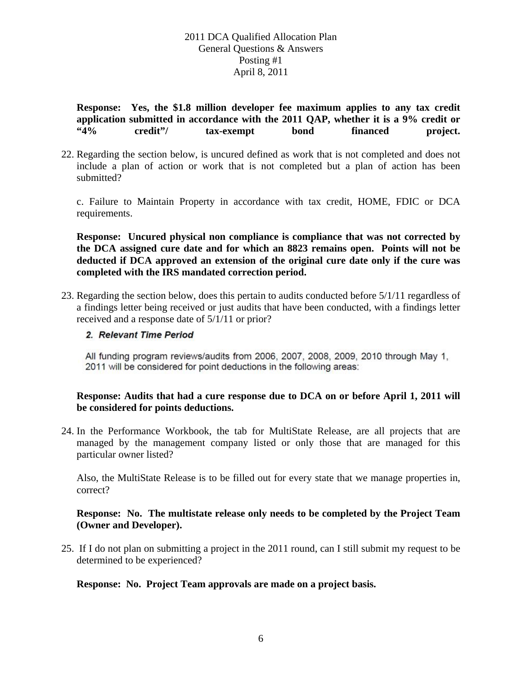**Response: Yes, the \$1.8 million developer fee maximum applies to any tax credit application submitted in accordance with the 2011 QAP, whether it is a 9% credit or "4% credit"/ tax-exempt bond financed project.**

22. Regarding the section below, is uncured defined as work that is not completed and does not include a plan of action or work that is not completed but a plan of action has been submitted?

c. Failure to Maintain Property in accordance with tax credit, HOME, FDIC or DCA requirements.

**Response: Uncured physical non compliance is compliance that was not corrected by the DCA assigned cure date and for which an 8823 remains open. Points will not be deducted if DCA approved an extension of the original cure date only if the cure was completed with the IRS mandated correction period.** 

23. Regarding the section below, does this pertain to audits conducted before 5/1/11 regardless of a findings letter being received or just audits that have been conducted, with a findings letter received and a response date of 5/1/11 or prior?

#### 2. Relevant Time Period

All funding program reviews/audits from 2006, 2007, 2008, 2009, 2010 through May 1, 2011 will be considered for point deductions in the following areas:

### **Response: Audits that had a cure response due to DCA on or before April 1, 2011 will be considered for points deductions.**

24. In the Performance Workbook, the tab for MultiState Release, are all projects that are managed by the management company listed or only those that are managed for this particular owner listed?

Also, the MultiState Release is to be filled out for every state that we manage properties in, correct?

### **Response: No. The multistate release only needs to be completed by the Project Team (Owner and Developer).**

25. If I do not plan on submitting a project in the 2011 round, can I still submit my request to be determined to be experienced?

#### **Response: No. Project Team approvals are made on a project basis.**